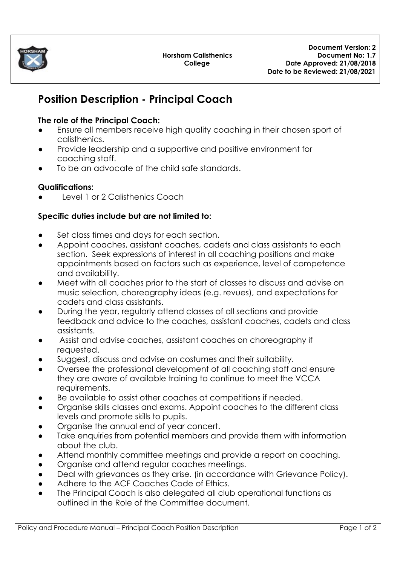

# **Position Description - Principal Coach**

### **The role of the Principal Coach:**

- Ensure all members receive high quality coaching in their chosen sport of calisthenics.
- Provide leadership and a supportive and positive environment for coaching staff.
- To be an advocate of the child safe standards.

# **Qualifications:**

Level 1 or 2 Calisthenics Coach

## **Specific duties include but are not limited to:**

- Set class times and days for each section.
- Appoint coaches, assistant coaches, cadets and class assistants to each section. Seek expressions of interest in all coaching positions and make appointments based on factors such as experience, level of competence and availability.
- Meet with all coaches prior to the start of classes to discuss and advise on music selection, choreography ideas (e.g. revues), and expectations for cadets and class assistants.
- During the year, regularly attend classes of all sections and provide feedback and advice to the coaches, assistant coaches, cadets and class assistants.
- Assist and advise coaches, assistant coaches on choreography if requested.
- Suggest, discuss and advise on costumes and their suitability.
- Oversee the professional development of all coaching staff and ensure they are aware of available training to continue to meet the VCCA requirements.
- Be available to assist other coaches at competitions if needed.
- Organise skills classes and exams. Appoint coaches to the different class levels and promote skills to pupils.
- Organise the annual end of year concert.
- Take enquiries from potential members and provide them with information about the club.
- Attend monthly committee meetings and provide a report on coaching.
- Organise and attend regular coaches meetings.
- Deal with grievances as they arise. (in accordance with Grievance Policy).
- Adhere to the ACF Coaches Code of Ethics.
- The Principal Coach is also delegated all club operational functions as outlined in the Role of the Committee document.